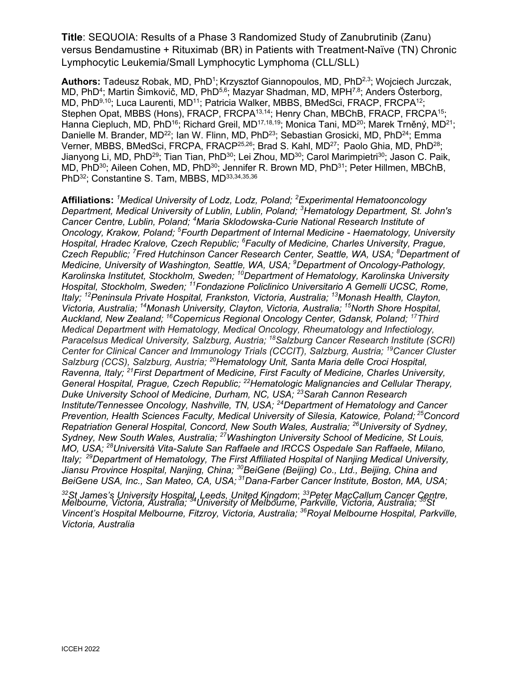**Title**: SEQUOIA: Results of a Phase 3 Randomized Study of Zanubrutinib (Zanu) versus Bendamustine + Rituximab (BR) in Patients with Treatment-Naïve (TN) Chronic Lymphocytic Leukemia/Small Lymphocytic Lymphoma (CLL/SLL)

**Authors:** Tadeusz Robak, MD, PhD<sup>1</sup>; Krzysztof Giannopoulos, MD, PhD<sup>2,3</sup>; Wojciech Jurczak, MD, PhD<sup>4</sup>; Martin Šimkovič, MD, PhD<sup>5,6</sup>; Mazyar Shadman, MD, MPH<sup>7,8</sup>; Anders Österborg, MD, PhD<sup>9,10</sup>; Luca Laurenti, MD<sup>11</sup>; Patricia Walker, MBBS, BMedSci, FRACP, FRCPA<sup>12</sup>; Stephen Opat, MBBS (Hons), FRACP, FRCPA<sup>13,14</sup>; Henry Chan, MBChB, FRACP, FRCPA<sup>15</sup>; Hanna Ciepluch, MD, PhD<sup>16</sup>; Richard Greil, MD<sup>17,18,19</sup>; Monica Tani, MD<sup>20</sup>; Marek Trněný, MD<sup>21</sup>; Danielle M. Brander, MD<sup>22</sup>; Ian W. Flinn, MD, PhD<sup>23</sup>; Sebastian Grosicki, MD, PhD<sup>24</sup>; Emma Verner, MBBS, BMedSci, FRCPA, FRACP<sup>25,26</sup>; Brad S. Kahl, MD<sup>27</sup>; Paolo Ghia, MD, PhD<sup>28</sup>; Jianyong Li, MD, PhD<sup>29</sup>; Tian Tian, PhD<sup>30</sup>; Lei Zhou, MD<sup>30</sup>; Carol Marimpietri<sup>30</sup>; Jason C. Paik, MD, PhD<sup>30</sup>; Aileen Cohen, MD, PhD<sup>30</sup>; Jennifer R. Brown MD, PhD<sup>31</sup>; Peter Hillmen, MBChB, PhD<sup>32</sup>; Constantine S. Tam, MBBS, MD<sup>33,34,35,36</sup>

**Affiliations:** *<sup>1</sup>Medical University of Lodz, Lodz, Poland; <sup>2</sup>Experimental Hematooncology Department, Medical University of Lublin, Lublin, Poland; <sup>3</sup>Hematology Department, St. John's Cancer Centre, Lublin, Poland; <sup>4</sup>Maria Sklodowska-Curie National Research Institute of Oncology, Krakow, Poland; <sup>5</sup>Fourth Department of Internal Medicine - Haematology, University Hospital, Hradec Kralove, Czech Republic; <sup>6</sup>Faculty of Medicine, Charles University, Prague, Czech Republic; <sup>7</sup>Fred Hutchinson Cancer Research Center, Seattle, WA, USA; <sup>8</sup>Department of Medicine, University of Washington, Seattle, WA, USA; <sup>9</sup>Department of Oncology-Pathology, Karolinska Institutet, Stockholm, Sweden; <sup>10</sup>Department of Hematology, Karolinska University Hospital, Stockholm, Sweden; <sup>11</sup>Fondazione Policlinico Universitario A Gemelli UCSC, Rome, Italy; <sup>12</sup>Peninsula Private Hospital, Frankston, Victoria, Australia; <sup>13</sup>Monash Health, Clayton, Victoria, Australia; <sup>14</sup>Monash University, Clayton, Victoria, Australia; <sup>15</sup>North Shore Hospital, Auckland, New Zealand; <sup>16</sup>Copernicus Regional Oncology Center, Gdansk, Poland; <sup>17</sup>Third Medical Department with Hematology, Medical Oncology, Rheumatology and Infectiology, Paracelsus Medical University, Salzburg, Austria; <sup>18</sup>Salzburg Cancer Research Institute (SCRI) Center for Clinical Cancer and Immunology Trials (CCCIT), Salzburg, Austria; <sup>19</sup>Cancer Cluster Salzburg (CCS), Salzburg, Austria; <sup>20</sup>Hematology Unit, Santa Maria delle Croci Hospital, Ravenna, Italy; <sup>21</sup>First Department of Medicine, First Faculty of Medicine, Charles University, General Hospital, Prague, Czech Republic; <sup>22</sup>Hematologic Malignancies and Cellular Therapy, Duke University School of Medicine, Durham, NC, USA; <sup>23</sup>Sarah Cannon Research Institute/Tennessee Oncology, Nashville, TN, USA; <sup>24</sup>Department of Hematology and Cancer Prevention, Health Sciences Faculty, Medical University of Silesia, Katowice, Poland; <sup>25</sup>Concord Repatriation General Hospital, Concord, New South Wales, Australia; <sup>26</sup>University of Sydney, Sydney, New South Wales, Australia; <sup>27</sup>Washington University School of Medicine, St Louis, MO, USA; <sup>28</sup>Università Vita-Salute San Raffaele and IRCCS Ospedale San Raffaele, Milano, Italy; <sup>29</sup>Department of Hematology, The First Affiliated Hospital of Nanjing Medical University, Jiansu Province Hospital, Nanjing, China; <sup>30</sup>BeiGene (Beijing) Co., Ltd., Beijing, China and BeiGene USA, Inc., San Mateo, CA, USA; <sup>31</sup>Dana-Farber Cancer Institute, Boston, MA, USA;* 

*<sup>32</sup>St James's University Hospital, Leeds, United Kingdom*; *<sup>33</sup>Peter MacCallum Cancer Centre, Melbourne, Victoria, Australia; <sup>34</sup>University of Melbourne, Parkville, Victoria, Australia; <sup>35</sup>St Vincent's Hospital Melbourne, Fitzroy, Victoria, Australia; <sup>36</sup>Royal Melbourne Hospital, Parkville, Victoria, Australia*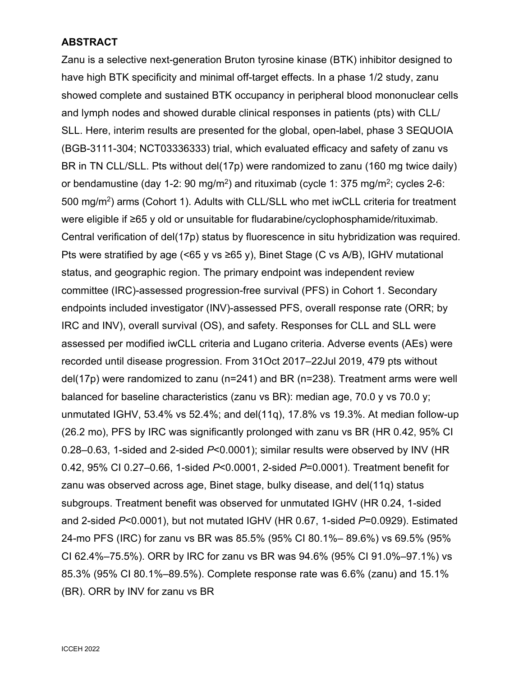## **ABSTRACT**

Zanu is a selective next-generation Bruton tyrosine kinase (BTK) inhibitor designed to have high BTK specificity and minimal off-target effects. In a phase 1/2 study, zanu showed complete and sustained BTK occupancy in peripheral blood mononuclear cells and lymph nodes and showed durable clinical responses in patients (pts) with CLL/ SLL. Here, interim results are presented for the global, open-label, phase 3 SEQUOIA (BGB-3111-304; NCT03336333) trial, which evaluated efficacy and safety of zanu vs BR in TN CLL/SLL. Pts without del(17p) were randomized to zanu (160 mg twice daily) or bendamustine (day 1-2: 90 mg/m $^2$ ) and rituximab (cycle 1: 375 mg/m $^2$ ; cycles 2-6: 500 mg/m<sup>2</sup>) arms (Cohort 1). Adults with CLL/SLL who met iwCLL criteria for treatment were eligible if ≥65 y old or unsuitable for fludarabine/cyclophosphamide/rituximab. Central verification of del(17p) status by fluorescence in situ hybridization was required. Pts were stratified by age (<65 y vs ≥65 y), Binet Stage (C vs A/B), IGHV mutational status, and geographic region. The primary endpoint was independent review committee (IRC)-assessed progression-free survival (PFS) in Cohort 1. Secondary endpoints included investigator (INV)-assessed PFS, overall response rate (ORR; by IRC and INV), overall survival (OS), and safety. Responses for CLL and SLL were assessed per modified iwCLL criteria and Lugano criteria. Adverse events (AEs) were recorded until disease progression. From 31Oct 2017–22Jul 2019, 479 pts without del(17p) were randomized to zanu (n=241) and BR (n=238). Treatment arms were well balanced for baseline characteristics (zanu vs BR): median age, 70.0 y vs 70.0 y; unmutated IGHV, 53.4% vs 52.4%; and del(11q), 17.8% vs 19.3%. At median follow-up (26.2 mo), PFS by IRC was significantly prolonged with zanu vs BR (HR 0.42, 95% CI 0.28–0.63, 1-sided and 2-sided *P*<0.0001); similar results were observed by INV (HR 0.42, 95% CI 0.27–0.66, 1-sided *P*<0.0001, 2-sided *P*=0.0001). Treatment benefit for zanu was observed across age, Binet stage, bulky disease, and del(11q) status subgroups. Treatment benefit was observed for unmutated IGHV (HR 0.24, 1-sided and 2-sided *P*<0.0001), but not mutated IGHV (HR 0.67, 1-sided *P*=0.0929). Estimated 24-mo PFS (IRC) for zanu vs BR was 85.5% (95% CI 80.1%– 89.6%) vs 69.5% (95% CI 62.4%–75.5%). ORR by IRC for zanu vs BR was 94.6% (95% CI 91.0%–97.1%) vs 85.3% (95% CI 80.1%–89.5%). Complete response rate was 6.6% (zanu) and 15.1% (BR). ORR by INV for zanu vs BR